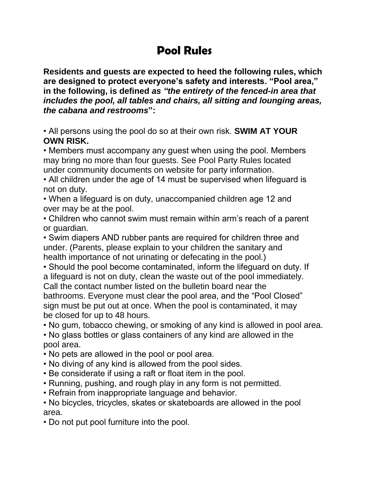## **Pool Rules**

**Residents and guests are expected to heed the following rules, which are designed to protect everyone's safety and interests. "Pool area," in the following, is defined** *as "the entirety of the fenced-in area that includes the pool, all tables and chairs, all sitting and lounging areas, the cabana and restrooms***":**

• All persons using the pool do so at their own risk. **SWIM AT YOUR OWN RISK.**

• Members must accompany any guest when using the pool. Members may bring no more than four guests. See Pool Party Rules located under community documents on website for party information.

• All children under the age of 14 must be supervised when lifeguard is not on duty.

• When a lifeguard is on duty, unaccompanied children age 12 and over may be at the pool.

• Children who cannot swim must remain within arm's reach of a parent or guardian.

• Swim diapers AND rubber pants are required for children three and under. (Parents, please explain to your children the sanitary and health importance of not urinating or defecating in the pool.)

• Should the pool become contaminated, inform the lifeguard on duty. If a lifeguard is not on duty, clean the waste out of the pool immediately. Call the contact number listed on the bulletin board near the bathrooms. Everyone must clear the pool area, and the "Pool Closed" sign must be put out at once. When the pool is contaminated, it may be closed for up to 48 hours.

• No gum, tobacco chewing, or smoking of any kind is allowed in pool area.

• No glass bottles or glass containers of any kind are allowed in the pool area.

- No pets are allowed in the pool or pool area.
- No diving of any kind is allowed from the pool sides.
- Be considerate if using a raft or float item in the pool.
- Running, pushing, and rough play in any form is not permitted.
- Refrain from inappropriate language and behavior.

• No bicycles, tricycles, skates or skateboards are allowed in the pool area.

• Do not put pool furniture into the pool.